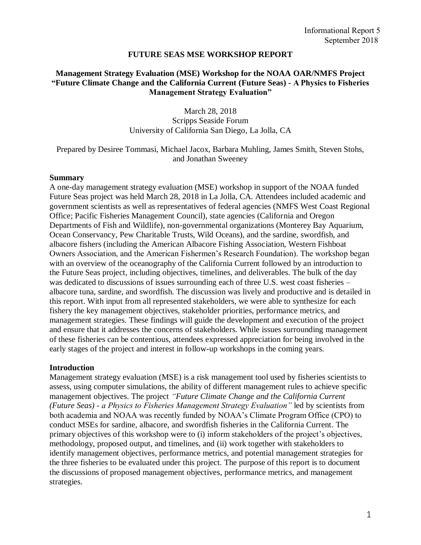### **FUTURE SEAS MSE WORKSHOP REPORT**

## **Management Strategy Evaluation (MSE) Workshop for the NOAA OAR/NMFS Project "Future Climate Change and the California Current (Future Seas) - A Physics to Fisheries Management Strategy Evaluation"**

March 28, 2018 Scripps Seaside Forum University of California San Diego, La Jolla, CA

Prepared by Desiree Tommasi, Michael Jacox, Barbara Muhling, James Smith, Steven Stohs, and Jonathan Sweeney

### **Summary**

A one-day management strategy evaluation (MSE) workshop in support of the NOAA funded Future Seas project was held March 28, 2018 in La Jolla, CA. Attendees included academic and government scientists as well as representatives of federal agencies (NMFS West Coast Regional Office; Pacific Fisheries Management Council), state agencies (California and Oregon Departments of Fish and Wildlife), non-governmental organizations (Monterey Bay Aquarium, Ocean Conservancy, Pew Charitable Trusts, Wild Oceans), and the sardine, swordfish, and albacore fishers (including the American Albacore Fishing Association, Western Fishboat Owners Association, and the American Fishermen's Research Foundation). The workshop began with an overview of the oceanography of the California Current followed by an introduction to the Future Seas project, including objectives, timelines, and deliverables. The bulk of the day was dedicated to discussions of issues surrounding each of three U.S. west coast fisheries – albacore tuna, sardine, and swordfish. The discussion was lively and productive and is detailed in this report. With input from all represented stakeholders, we were able to synthesize for each fishery the key management objectives, stakeholder priorities, performance metrics, and management strategies. These findings will guide the development and execution of the project and ensure that it addresses the concerns of stakeholders. While issues surrounding management of these fisheries can be contentious, attendees expressed appreciation for being involved in the early stages of the project and interest in follow-up workshops in the coming years.

### **Introduction**

Management strategy evaluation (MSE) is a risk management tool used by fisheries scientists to assess, using computer simulations, the ability of different management rules to achieve specific management objectives. The project *"Future Climate Change and the California Current (Future Seas) - a Physics to Fisheries Management Strategy Evaluation"* led by scientists from both academia and NOAA was recently funded by NOAA's Climate Program Office (CPO) to conduct MSEs for sardine, albacore, and swordfish fisheries in the California Current. The primary objectives of this workshop were to (i) inform stakeholders of the project's objectives, methodology, proposed output, and timelines, and (ii) work together with stakeholders to identify management objectives, performance metrics, and potential management strategies for the three fisheries to be evaluated under this project. The purpose of this report is to document the discussions of proposed management objectives, performance metrics, and management strategies.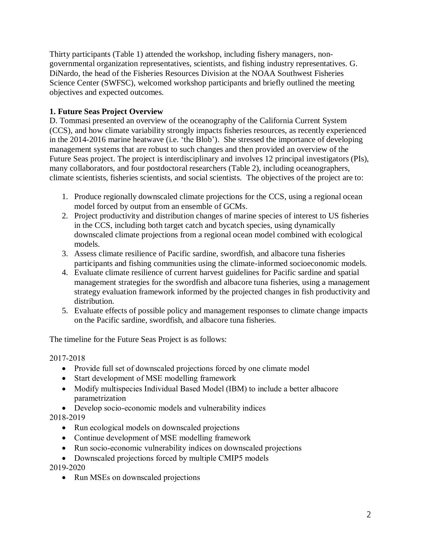Thirty participants (Table 1) attended the workshop, including fishery managers, nongovernmental organization representatives, scientists, and fishing industry representatives. G. DiNardo, the head of the Fisheries Resources Division at the NOAA Southwest Fisheries Science Center (SWFSC), welcomed workshop participants and briefly outlined the meeting objectives and expected outcomes.

# **1. Future Seas Project Overview**

D. Tommasi presented an overview of the oceanography of the California Current System (CCS), and how climate variability strongly impacts fisheries resources, as recently experienced in the 2014-2016 marine heatwave (i.e. 'the Blob'). She stressed the importance of developing management systems that are robust to such changes and then provided an overview of the Future Seas project. The project is interdisciplinary and involves 12 principal investigators (PIs), many collaborators, and four postdoctoral researchers (Table 2), including oceanographers, climate scientists, fisheries scientists, and social scientists. The objectives of the project are to:

- 1. Produce regionally downscaled climate projections for the CCS, using a regional ocean model forced by output from an ensemble of GCMs.
- 2. Project productivity and distribution changes of marine species of interest to US fisheries in the CCS, including both target catch and bycatch species, using dynamically downscaled climate projections from a regional ocean model combined with ecological models.
- 3. Assess climate resilience of Pacific sardine, swordfish, and albacore tuna fisheries participants and fishing communities using the climate-informed socioeconomic models.
- 4. Evaluate climate resilience of current harvest guidelines for Pacific sardine and spatial management strategies for the swordfish and albacore tuna fisheries, using a management strategy evaluation framework informed by the projected changes in fish productivity and distribution.
- 5. Evaluate effects of possible policy and management responses to climate change impacts on the Pacific sardine, swordfish, and albacore tuna fisheries.

The timeline for the Future Seas Project is as follows:

2017-2018

- Provide full set of downscaled projections forced by one climate model
- Start development of MSE modelling framework
- Modify multispecies Individual Based Model (IBM) to include a better albacore parametrization
- Develop socio-economic models and vulnerability indices

2018-2019

- Run ecological models on downscaled projections
- Continue development of MSE modelling framework
- Run socio-economic vulnerability indices on downscaled projections
- Downscaled projections forced by multiple CMIP5 models 2019-2020
	- Run MSEs on downscaled projections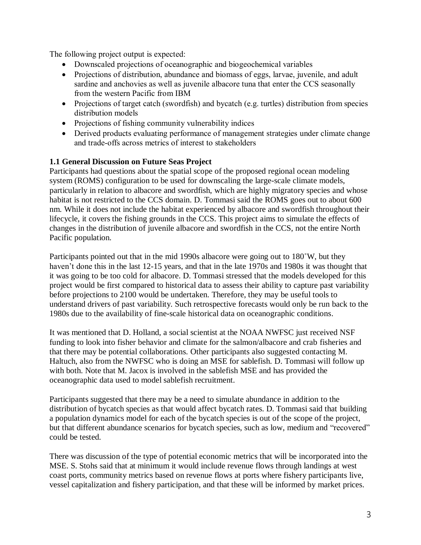The following project output is expected:

- Downscaled projections of oceanographic and biogeochemical variables
- Projections of distribution, abundance and biomass of eggs, larvae, juvenile, and adult sardine and anchovies as well as juvenile albacore tuna that enter the CCS seasonally from the western Pacific from IBM
- Projections of target catch (swordfish) and bycatch (e.g. turtles) distribution from species distribution models
- Projections of fishing community vulnerability indices
- Derived products evaluating performance of management strategies under climate change and trade-offs across metrics of interest to stakeholders

# **1.1 General Discussion on Future Seas Project**

Participants had questions about the spatial scope of the proposed regional ocean modeling system (ROMS) configuration to be used for downscaling the large-scale climate models, particularly in relation to albacore and swordfish, which are highly migratory species and whose habitat is not restricted to the CCS domain. D. Tommasi said the ROMS goes out to about 600 nm. While it does not include the habitat experienced by albacore and swordfish throughout their lifecycle, it covers the fishing grounds in the CCS. This project aims to simulate the effects of changes in the distribution of juvenile albacore and swordfish in the CCS, not the entire North Pacific population.

Participants pointed out that in the mid 1990s albacore were going out to 180˚W, but they haven't done this in the last 12-15 years, and that in the late 1970s and 1980s it was thought that it was going to be too cold for albacore. D. Tommasi stressed that the models developed for this project would be first compared to historical data to assess their ability to capture past variability before projections to 2100 would be undertaken. Therefore, they may be useful tools to understand drivers of past variability. Such retrospective forecasts would only be run back to the 1980s due to the availability of fine-scale historical data on oceanographic conditions.

It was mentioned that D. Holland, a social scientist at the NOAA NWFSC just received NSF funding to look into fisher behavior and climate for the salmon/albacore and crab fisheries and that there may be potential collaborations. Other participants also suggested contacting M. Haltuch, also from the NWFSC who is doing an MSE for sablefish. D. Tommasi will follow up with both. Note that M. Jacox is involved in the sablefish MSE and has provided the oceanographic data used to model sablefish recruitment.

Participants suggested that there may be a need to simulate abundance in addition to the distribution of bycatch species as that would affect bycatch rates. D. Tommasi said that building a population dynamics model for each of the bycatch species is out of the scope of the project, but that different abundance scenarios for bycatch species, such as low, medium and "recovered" could be tested.

There was discussion of the type of potential economic metrics that will be incorporated into the MSE. S. Stohs said that at minimum it would include revenue flows through landings at west coast ports, community metrics based on revenue flows at ports where fishery participants live, vessel capitalization and fishery participation, and that these will be informed by market prices.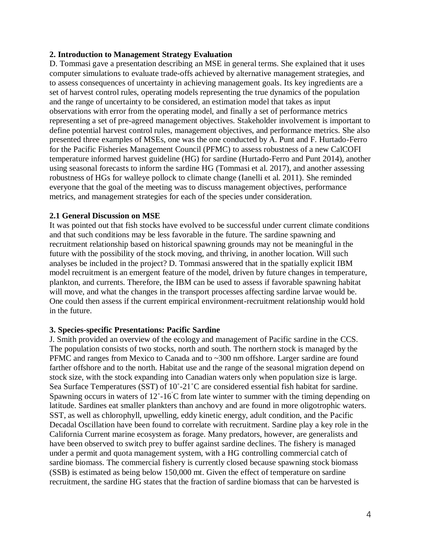## **2. Introduction to Management Strategy Evaluation**

D. Tommasi gave a presentation describing an MSE in general terms. She explained that it uses computer simulations to evaluate trade-offs achieved by alternative management strategies, and to assess consequences of uncertainty in achieving management goals. Its key ingredients are a set of harvest control rules, operating models representing the true dynamics of the population and the range of uncertainty to be considered, an estimation model that takes as input observations with error from the operating model, and finally a set of performance metrics representing a set of pre-agreed management objectives. Stakeholder involvement is important to define potential harvest control rules, management objectives, and performance metrics. She also presented three examples of MSEs, one was the one conducted by A. Punt and F. Hurtado-Ferro for the Pacific Fisheries Management Council (PFMC) to assess robustness of a new CalCOFI temperature informed harvest guideline (HG) for sardine (Hurtado-Ferro and Punt 2014), another using seasonal forecasts to inform the sardine HG (Tommasi et al. 2017), and another assessing robustness of HGs for walleye pollock to climate change (Ianelli et al. 2011). She reminded everyone that the goal of the meeting was to discuss management objectives, performance metrics, and management strategies for each of the species under consideration.

## **2.1 General Discussion on MSE**

It was pointed out that fish stocks have evolved to be successful under current climate conditions and that such conditions may be less favorable in the future. The sardine spawning and recruitment relationship based on historical spawning grounds may not be meaningful in the future with the possibility of the stock moving, and thriving, in another location. Will such analyses be included in the project? D. Tommasi answered that in the spatially explicit IBM model recruitment is an emergent feature of the model, driven by future changes in temperature, plankton, and currents. Therefore, the IBM can be used to assess if favorable spawning habitat will move, and what the changes in the transport processes affecting sardine larvae would be. One could then assess if the current empirical environment-recruitment relationship would hold in the future.

### **3. Species-specific Presentations: Pacific Sardine**

J. Smith provided an overview of the ecology and management of Pacific sardine in the CCS. The population consists of two stocks, north and south. The northern stock is managed by the PFMC and ranges from Mexico to Canada and to ~300 nm offshore. Larger sardine are found farther offshore and to the north. Habitat use and the range of the seasonal migration depend on stock size, with the stock expanding into Canadian waters only when population size is large. Sea Surface Temperatures (SST) of 10˚-21˚C are considered essential fish habitat for sardine. Spawning occurs in waters of 12˚-16˚C from late winter to summer with the timing depending on latitude. Sardines eat smaller plankters than anchovy and are found in more oligotrophic waters. SST, as well as chlorophyll, upwelling, eddy kinetic energy, adult condition, and the Pacific Decadal Oscillation have been found to correlate with recruitment. Sardine play a key role in the California Current marine ecosystem as forage. Many predators, however, are generalists and have been observed to switch prey to buffer against sardine declines. The fishery is managed under a permit and quota management system, with a HG controlling commercial catch of sardine biomass. The commercial fishery is currently closed because spawning stock biomass (SSB) is estimated as being below 150,000 mt. Given the effect of temperature on sardine recruitment, the sardine HG states that the fraction of sardine biomass that can be harvested is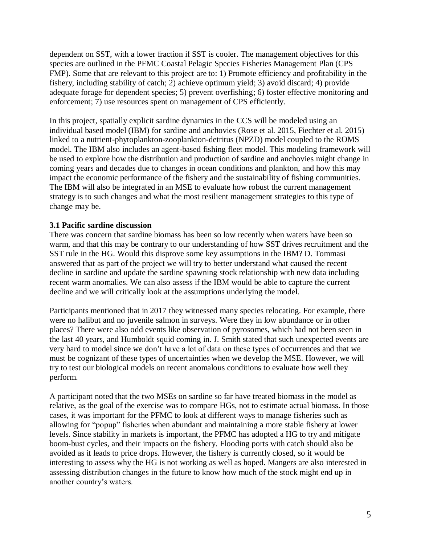dependent on SST, with a lower fraction if SST is cooler. The management objectives for this species are outlined in the PFMC Coastal Pelagic Species Fisheries Management Plan (CPS FMP). Some that are relevant to this project are to: 1) Promote efficiency and profitability in the fishery, including stability of catch; 2) achieve optimum yield; 3) avoid discard; 4) provide adequate forage for dependent species; 5) prevent overfishing; 6) foster effective monitoring and enforcement; 7) use resources spent on management of CPS efficiently.

In this project, spatially explicit sardine dynamics in the CCS will be modeled using an individual based model (IBM) for sardine and anchovies (Rose et al. 2015, Fiechter et al. 2015) linked to a nutrient-phytoplankton-zooplankton-detritus (NPZD) model coupled to the ROMS model. The IBM also includes an agent-based fishing fleet model. This modeling framework will be used to explore how the distribution and production of sardine and anchovies might change in coming years and decades due to changes in ocean conditions and plankton, and how this may impact the economic performance of the fishery and the sustainability of fishing communities. The IBM will also be integrated in an MSE to evaluate how robust the current management strategy is to such changes and what the most resilient management strategies to this type of change may be.

## **3.1 Pacific sardine discussion**

There was concern that sardine biomass has been so low recently when waters have been so warm, and that this may be contrary to our understanding of how SST drives recruitment and the SST rule in the HG. Would this disprove some key assumptions in the IBM? D. Tommasi answered that as part of the project we will try to better understand what caused the recent decline in sardine and update the sardine spawning stock relationship with new data including recent warm anomalies. We can also assess if the IBM would be able to capture the current decline and we will critically look at the assumptions underlying the model.

Participants mentioned that in 2017 they witnessed many species relocating. For example, there were no halibut and no juvenile salmon in surveys. Were they in low abundance or in other places? There were also odd events like observation of pyrosomes, which had not been seen in the last 40 years, and Humboldt squid coming in. J. Smith stated that such unexpected events are very hard to model since we don't have a lot of data on these types of occurrences and that we must be cognizant of these types of uncertainties when we develop the MSE. However, we will try to test our biological models on recent anomalous conditions to evaluate how well they perform.

A participant noted that the two MSEs on sardine so far have treated biomass in the model as relative, as the goal of the exercise was to compare HGs, not to estimate actual biomass. In those cases, it was important for the PFMC to look at different ways to manage fisheries such as allowing for "popup" fisheries when abundant and maintaining a more stable fishery at lower levels. Since stability in markets is important, the PFMC has adopted a HG to try and mitigate boom-bust cycles, and their impacts on the fishery. Flooding ports with catch should also be avoided as it leads to price drops. However, the fishery is currently closed, so it would be interesting to assess why the HG is not working as well as hoped. Mangers are also interested in assessing distribution changes in the future to know how much of the stock might end up in another country's waters.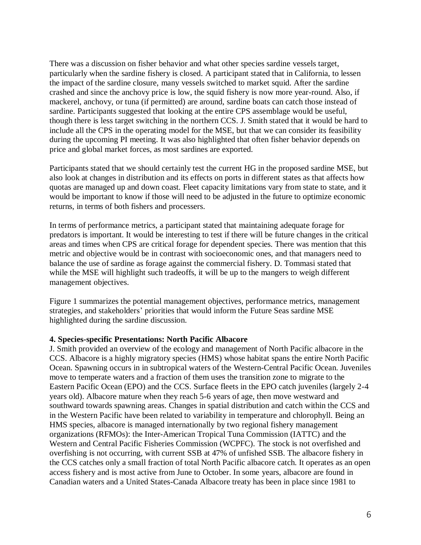There was a discussion on fisher behavior and what other species sardine vessels target, particularly when the sardine fishery is closed. A participant stated that in California, to lessen the impact of the sardine closure, many vessels switched to market squid. After the sardine crashed and since the anchovy price is low, the squid fishery is now more year-round. Also, if mackerel, anchovy, or tuna (if permitted) are around, sardine boats can catch those instead of sardine. Participants suggested that looking at the entire CPS assemblage would be useful, though there is less target switching in the northern CCS. J. Smith stated that it would be hard to include all the CPS in the operating model for the MSE, but that we can consider its feasibility during the upcoming PI meeting. It was also highlighted that often fisher behavior depends on price and global market forces, as most sardines are exported.

Participants stated that we should certainly test the current HG in the proposed sardine MSE, but also look at changes in distribution and its effects on ports in different states as that affects how quotas are managed up and down coast. Fleet capacity limitations vary from state to state, and it would be important to know if those will need to be adjusted in the future to optimize economic returns, in terms of both fishers and processers.

In terms of performance metrics, a participant stated that maintaining adequate forage for predators is important. It would be interesting to test if there will be future changes in the critical areas and times when CPS are critical forage for dependent species. There was mention that this metric and objective would be in contrast with socioeconomic ones, and that managers need to balance the use of sardine as forage against the commercial fishery. D. Tommasi stated that while the MSE will highlight such tradeoffs, it will be up to the mangers to weigh different management objectives.

Figure 1 summarizes the potential management objectives, performance metrics, management strategies, and stakeholders' priorities that would inform the Future Seas sardine MSE highlighted during the sardine discussion.

### **4. Species-specific Presentations: North Pacific Albacore**

J. Smith provided an overview of the ecology and management of North Pacific albacore in the CCS. Albacore is a highly migratory species (HMS) whose habitat spans the entire North Pacific Ocean. Spawning occurs in in subtropical waters of the Western-Central Pacific Ocean. Juveniles move to temperate waters and a fraction of them uses the transition zone to migrate to the Eastern Pacific Ocean (EPO) and the CCS. Surface fleets in the EPO catch juveniles (largely 2-4 years old). Albacore mature when they reach 5-6 years of age, then move westward and southward towards spawning areas. Changes in spatial distribution and catch within the CCS and in the Western Pacific have been related to variability in temperature and chlorophyll. Being an HMS species, albacore is managed internationally by two regional fishery management organizations (RFMOs): the Inter-American Tropical Tuna Commission (IATTC) and the Western and Central Pacific Fisheries Commission (WCPFC). The stock is not overfished and overfishing is not occurring, with current SSB at 47% of unfished SSB. The albacore fishery in the CCS catches only a small fraction of total North Pacific albacore catch. It operates as an open access fishery and is most active from June to October. In some years, albacore are found in Canadian waters and a United States-Canada Albacore treaty has been in place since 1981 to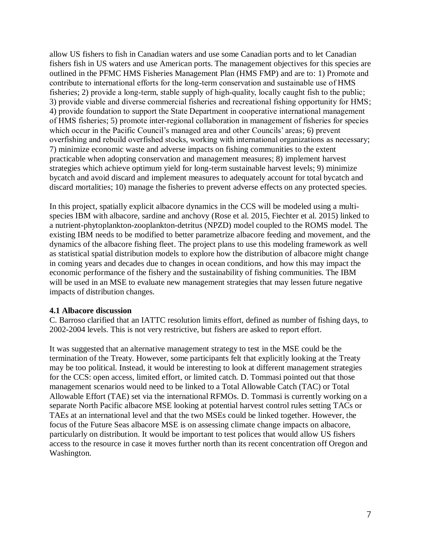allow US fishers to fish in Canadian waters and use some Canadian ports and to let Canadian fishers fish in US waters and use American ports. The management objectives for this species are outlined in the PFMC HMS Fisheries Management Plan (HMS FMP) and are to: 1) Promote and contribute to international efforts for the long-term conservation and sustainable use of HMS fisheries; 2) provide a long-term, stable supply of high-quality, locally caught fish to the public; 3) provide viable and diverse commercial fisheries and recreational fishing opportunity for HMS; 4) provide foundation to support the State Department in cooperative international management of HMS fisheries; 5) promote inter-regional collaboration in management of fisheries for species which occur in the Pacific Council's managed area and other Councils' areas; 6) prevent overfishing and rebuild overfished stocks, working with international organizations as necessary; 7) minimize economic waste and adverse impacts on fishing communities to the extent practicable when adopting conservation and management measures; 8) implement harvest strategies which achieve optimum yield for long-term sustainable harvest levels; 9) minimize bycatch and avoid discard and implement measures to adequately account for total bycatch and discard mortalities; 10) manage the fisheries to prevent adverse effects on any protected species.

In this project, spatially explicit albacore dynamics in the CCS will be modeled using a multispecies IBM with albacore, sardine and anchovy (Rose et al. 2015, Fiechter et al. 2015) linked to a nutrient-phytoplankton-zooplankton-detritus (NPZD) model coupled to the ROMS model. The existing IBM needs to be modified to better parametrize albacore feeding and movement, and the dynamics of the albacore fishing fleet. The project plans to use this modeling framework as well as statistical spatial distribution models to explore how the distribution of albacore might change in coming years and decades due to changes in ocean conditions, and how this may impact the economic performance of the fishery and the sustainability of fishing communities. The IBM will be used in an MSE to evaluate new management strategies that may lessen future negative impacts of distribution changes.

### **4.1 Albacore discussion**

C. Barroso clarified that an IATTC resolution limits effort, defined as number of fishing days, to 2002-2004 levels. This is not very restrictive, but fishers are asked to report effort.

It was suggested that an alternative management strategy to test in the MSE could be the termination of the Treaty. However, some participants felt that explicitly looking at the Treaty may be too political. Instead, it would be interesting to look at different management strategies for the CCS: open access, limited effort, or limited catch. D. Tommasi pointed out that those management scenarios would need to be linked to a Total Allowable Catch (TAC) or Total Allowable Effort (TAE) set via the international RFMOs. D. Tommasi is currently working on a separate North Pacific albacore MSE looking at potential harvest control rules setting TACs or TAEs at an international level and that the two MSEs could be linked together. However, the focus of the Future Seas albacore MSE is on assessing climate change impacts on albacore, particularly on distribution. It would be important to test polices that would allow US fishers access to the resource in case it moves further north than its recent concentration off Oregon and Washington.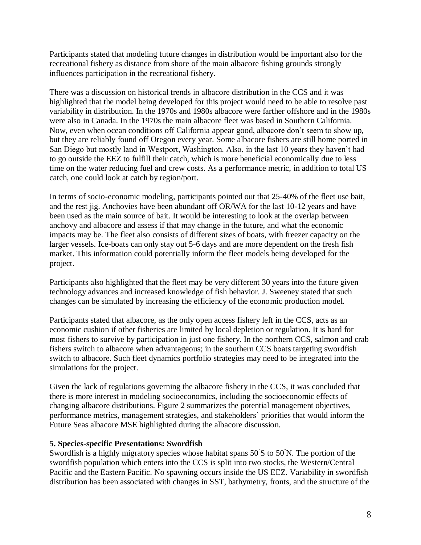Participants stated that modeling future changes in distribution would be important also for the recreational fishery as distance from shore of the main albacore fishing grounds strongly influences participation in the recreational fishery.

There was a discussion on historical trends in albacore distribution in the CCS and it was highlighted that the model being developed for this project would need to be able to resolve past variability in distribution. In the 1970s and 1980s albacore were farther offshore and in the 1980s were also in Canada. In the 1970s the main albacore fleet was based in Southern California. Now, even when ocean conditions off California appear good, albacore don't seem to show up, but they are reliably found off Oregon every year. Some albacore fishers are still home ported in San Diego but mostly land in Westport, Washington. Also, in the last 10 years they haven't had to go outside the EEZ to fulfill their catch, which is more beneficial economically due to less time on the water reducing fuel and crew costs. As a performance metric, in addition to total US catch, one could look at catch by region/port.

In terms of socio-economic modeling, participants pointed out that 25-40% of the fleet use bait, and the rest jig. Anchovies have been abundant off OR/WA for the last 10-12 years and have been used as the main source of bait. It would be interesting to look at the overlap between anchovy and albacore and assess if that may change in the future, and what the economic impacts may be. The fleet also consists of different sizes of boats, with freezer capacity on the larger vessels. Ice-boats can only stay out 5-6 days and are more dependent on the fresh fish market. This information could potentially inform the fleet models being developed for the project.

Participants also highlighted that the fleet may be very different 30 years into the future given technology advances and increased knowledge of fish behavior. J. Sweeney stated that such changes can be simulated by increasing the efficiency of the economic production model.

Participants stated that albacore, as the only open access fishery left in the CCS, acts as an economic cushion if other fisheries are limited by local depletion or regulation. It is hard for most fishers to survive by participation in just one fishery. In the northern CCS, salmon and crab fishers switch to albacore when advantageous; in the southern CCS boats targeting swordfish switch to albacore. Such fleet dynamics portfolio strategies may need to be integrated into the simulations for the project.

Given the lack of regulations governing the albacore fishery in the CCS, it was concluded that there is more interest in modeling socioeconomics, including the socioeconomic effects of changing albacore distributions. Figure 2 summarizes the potential management objectives, performance metrics, management strategies, and stakeholders' priorities that would inform the Future Seas albacore MSE highlighted during the albacore discussion.

# **5. Species-specific Presentations: Swordfish**

Swordfish is a highly migratory species whose habitat spans 50˚S to 50˚N. The portion of the swordfish population which enters into the CCS is split into two stocks, the Western/Central Pacific and the Eastern Pacific. No spawning occurs inside the US EEZ. Variability in swordfish distribution has been associated with changes in SST, bathymetry, fronts, and the structure of the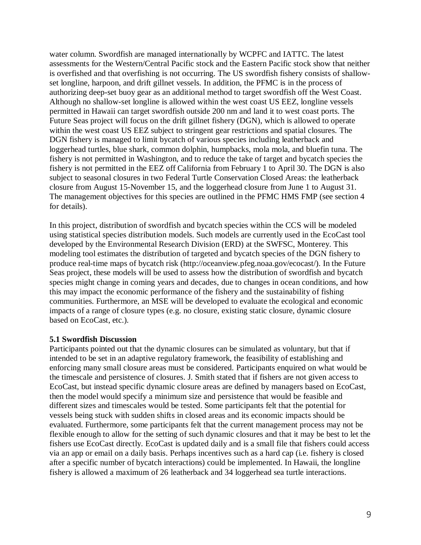water column. Swordfish are managed internationally by WCPFC and IATTC. The latest assessments for the Western/Central Pacific stock and the Eastern Pacific stock show that neither is overfished and that overfishing is not occurring. The US swordfish fishery consists of shallowset longline, harpoon, and drift gillnet vessels. In addition, the PFMC is in the process of authorizing deep-set buoy gear as an additional method to target swordfish off the West Coast. Although no shallow-set longline is allowed within the west coast US EEZ, longline vessels permitted in Hawaii can target swordfish outside 200 nm and land it to west coast ports. The Future Seas project will focus on the drift gillnet fishery (DGN), which is allowed to operate within the west coast US EEZ subject to stringent gear restrictions and spatial closures. The DGN fishery is managed to limit bycatch of various species including leatherback and loggerhead turtles, blue shark, common dolphin, humpbacks, mola mola, and bluefin tuna. The fishery is not permitted in Washington, and to reduce the take of target and bycatch species the fishery is not permitted in the EEZ off California from February 1 to April 30. The DGN is also subject to seasonal closures in two Federal Turtle Conservation Closed Areas: the leatherback closure from August 15-November 15, and the loggerhead closure from June 1 to August 31. The management objectives for this species are outlined in the PFMC HMS FMP (see section 4 for details).

In this project, distribution of swordfish and bycatch species within the CCS will be modeled using statistical species distribution models. Such models are currently used in the EcoCast tool developed by the Environmental Research Division (ERD) at the SWFSC, Monterey. This modeling tool estimates the distribution of targeted and bycatch species of the DGN fishery to produce real-time maps of bycatch risk (http://oceanview.pfeg.noaa.gov/ecocast/). In the Future Seas project, these models will be used to assess how the distribution of swordfish and bycatch species might change in coming years and decades, due to changes in ocean conditions, and how this may impact the economic performance of the fishery and the sustainability of fishing communities. Furthermore, an MSE will be developed to evaluate the ecological and economic impacts of a range of closure types (e.g. no closure, existing static closure, dynamic closure based on EcoCast, etc.).

### **5.1 Swordfish Discussion**

Participants pointed out that the dynamic closures can be simulated as voluntary, but that if intended to be set in an adaptive regulatory framework, the feasibility of establishing and enforcing many small closure areas must be considered. Participants enquired on what would be the timescale and persistence of closures. J. Smith stated that if fishers are not given access to EcoCast, but instead specific dynamic closure areas are defined by managers based on EcoCast, then the model would specify a minimum size and persistence that would be feasible and different sizes and timescales would be tested. Some participants felt that the potential for vessels being stuck with sudden shifts in closed areas and its economic impacts should be evaluated. Furthermore, some participants felt that the current management process may not be flexible enough to allow for the setting of such dynamic closures and that it may be best to let the fishers use EcoCast directly. EcoCast is updated daily and is a small file that fishers could access via an app or email on a daily basis. Perhaps incentives such as a hard cap (i.e. fishery is closed after a specific number of bycatch interactions) could be implemented. In Hawaii, the longline fishery is allowed a maximum of 26 leatherback and 34 loggerhead sea turtle interactions.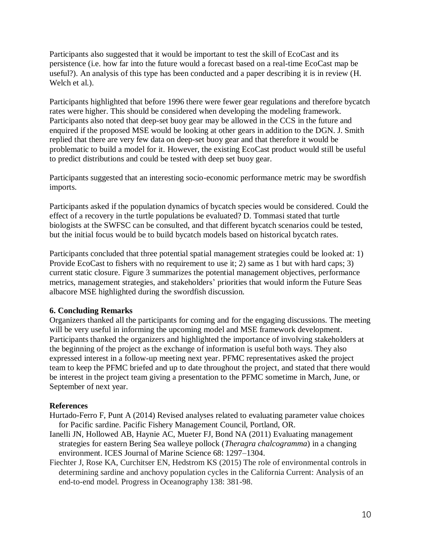Participants also suggested that it would be important to test the skill of EcoCast and its persistence (i.e. how far into the future would a forecast based on a real-time EcoCast map be useful?). An analysis of this type has been conducted and a paper describing it is in review (H. Welch et al.).

Participants highlighted that before 1996 there were fewer gear regulations and therefore bycatch rates were higher. This should be considered when developing the modeling framework. Participants also noted that deep-set buoy gear may be allowed in the CCS in the future and enquired if the proposed MSE would be looking at other gears in addition to the DGN. J. Smith replied that there are very few data on deep-set buoy gear and that therefore it would be problematic to build a model for it. However, the existing EcoCast product would still be useful to predict distributions and could be tested with deep set buoy gear.

Participants suggested that an interesting socio-economic performance metric may be swordfish imports.

Participants asked if the population dynamics of bycatch species would be considered. Could the effect of a recovery in the turtle populations be evaluated? D. Tommasi stated that turtle biologists at the SWFSC can be consulted, and that different bycatch scenarios could be tested, but the initial focus would be to build bycatch models based on historical bycatch rates.

Participants concluded that three potential spatial management strategies could be looked at: 1) Provide EcoCast to fishers with no requirement to use it; 2) same as 1 but with hard caps; 3) current static closure. Figure 3 summarizes the potential management objectives, performance metrics, management strategies, and stakeholders' priorities that would inform the Future Seas albacore MSE highlighted during the swordfish discussion.

# **6. Concluding Remarks**

Organizers thanked all the participants for coming and for the engaging discussions. The meeting will be very useful in informing the upcoming model and MSE framework development. Participants thanked the organizers and highlighted the importance of involving stakeholders at the beginning of the project as the exchange of information is useful both ways. They also expressed interest in a follow-up meeting next year. PFMC representatives asked the project team to keep the PFMC briefed and up to date throughout the project, and stated that there would be interest in the project team giving a presentation to the PFMC sometime in March, June, or September of next year.

# **References**

- Hurtado-Ferro F, Punt A (2014) Revised analyses related to evaluating parameter value choices for Pacific sardine. Pacific Fishery Management Council, Portland, OR.
- Ianelli JN, Hollowed AB, Haynie AC, Mueter FJ, Bond NA (2011) Evaluating management strategies for eastern Bering Sea walleye pollock (*Theragra chalcogramma*) in a changing environment. ICES Journal of Marine Science 68: 1297–1304.
- Fiechter J, Rose KA, Curchitser EN, Hedstrom KS (2015) The role of environmental controls in determining sardine and anchovy population cycles in the California Current: Analysis of an end-to-end model. Progress in Oceanography 138: 381-98.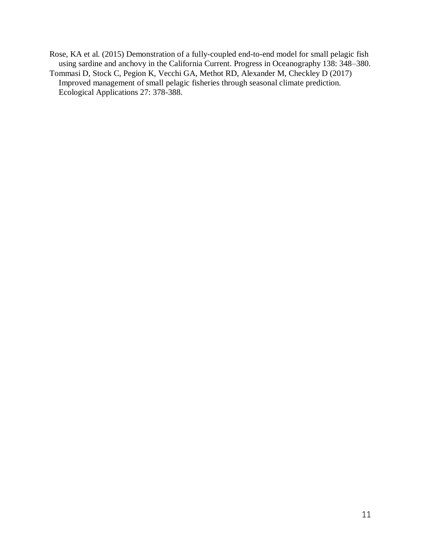- Rose, KA et al. (2015) Demonstration of a fully-coupled end-to-end model for small pelagic fish using sardine and anchovy in the California Current. Progress in Oceanography 138: 348–380. Tommasi D, Stock C, Pegion K, Vecchi GA, Methot RD, Alexander M, Checkley D (2017)
- Improved management of small pelagic fisheries through seasonal climate prediction. Ecological Applications 27: 378-388.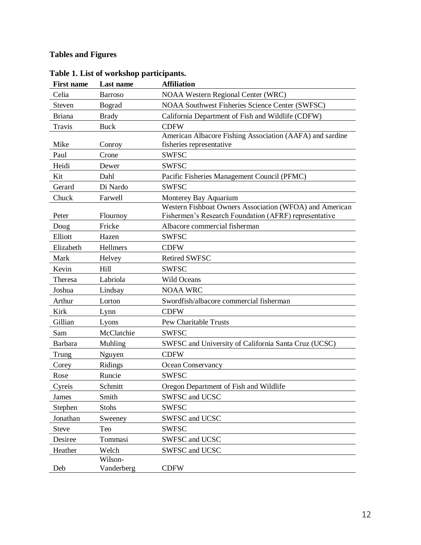# **Tables and Figures**

| <b>First name</b> | Last name             | <b>Affiliation</b>                                                                                               |
|-------------------|-----------------------|------------------------------------------------------------------------------------------------------------------|
| Celia             | <b>Barroso</b>        | <b>NOAA Western Regional Center (WRC)</b>                                                                        |
| Steven            | Bograd                | <b>NOAA Southwest Fisheries Science Center (SWFSC)</b>                                                           |
| <b>Briana</b>     | <b>Brady</b>          | California Department of Fish and Wildlife (CDFW)                                                                |
| Travis            | <b>Buck</b>           | <b>CDFW</b>                                                                                                      |
| Mike              | Conroy                | American Albacore Fishing Association (AAFA) and sardine<br>fisheries representative                             |
| Paul              | Crone                 | <b>SWFSC</b>                                                                                                     |
| Heidi             | Dewer                 | <b>SWFSC</b>                                                                                                     |
| Kit               | Dahl                  | Pacific Fisheries Management Council (PFMC)                                                                      |
| Gerard            | Di Nardo              | <b>SWFSC</b>                                                                                                     |
| Chuck             | Farwell               | Monterey Bay Aquarium                                                                                            |
| Peter             | Flournoy              | Western Fishboat Owners Association (WFOA) and American<br>Fishermen's Research Foundation (AFRF) representative |
| Doug              | Fricke                | Albacore commercial fisherman                                                                                    |
| Elliott           | Hazen                 | <b>SWFSC</b>                                                                                                     |
| Elizabeth         | Hellmers              | <b>CDFW</b>                                                                                                      |
| Mark              | Helvey                | <b>Retired SWFSC</b>                                                                                             |
| Kevin             | Hill                  | <b>SWFSC</b>                                                                                                     |
| Theresa           | Labriola              | <b>Wild Oceans</b>                                                                                               |
| Joshua            | Lindsay               | <b>NOAA WRC</b>                                                                                                  |
| Arthur            | Lorton                | Swordfish/albacore commercial fisherman                                                                          |
| Kirk              | Lynn                  | <b>CDFW</b>                                                                                                      |
| Gillian           | Lyons                 | Pew Charitable Trusts                                                                                            |
| Sam               | McClatchie            | <b>SWFSC</b>                                                                                                     |
| Barbara           | Muhling               | SWFSC and University of California Santa Cruz (UCSC)                                                             |
| Trung             | Nguyen                | <b>CDFW</b>                                                                                                      |
| Corey             | Ridings               | Ocean Conservancy                                                                                                |
| Rose              | Runcie                | <b>SWFSC</b>                                                                                                     |
| Cyreis            | Schmitt               | Oregon Department of Fish and Wildlife                                                                           |
| James             | Smith                 | SWFSC and UCSC                                                                                                   |
| Stephen           | <b>Stohs</b>          | <b>SWFSC</b>                                                                                                     |
| Jonathan          | Sweeney               | SWFSC and UCSC                                                                                                   |
| <b>Steve</b>      | Teo                   | <b>SWFSC</b>                                                                                                     |
| Desiree           | Tommasi               | SWFSC and UCSC                                                                                                   |
| Heather           | Welch                 | SWFSC and UCSC                                                                                                   |
| Deb               | Wilson-<br>Vanderberg | <b>CDFW</b>                                                                                                      |

# **Table 1. List of workshop participants.**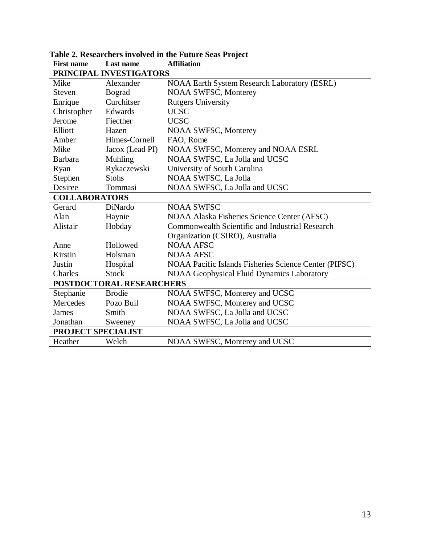| <b>First name</b>        | Last name               | <b>Affiliation</b>                                    |  |  |
|--------------------------|-------------------------|-------------------------------------------------------|--|--|
|                          | PRINCIPAL INVESTIGATORS |                                                       |  |  |
| Mike                     | Alexander               | <b>NOAA Earth System Research Laboratory (ESRL)</b>   |  |  |
| <b>Steven</b>            | <b>Bograd</b>           | <b>NOAA SWFSC, Monterey</b>                           |  |  |
| Enrique                  | Curchitser              | <b>Rutgers University</b>                             |  |  |
| Christopher              | Edwards                 | <b>UCSC</b>                                           |  |  |
| Jerome                   | Fiecther                | <b>UCSC</b>                                           |  |  |
| Elliott                  | Hazen                   | <b>NOAA SWFSC, Monterey</b>                           |  |  |
| Amber                    | Himes-Cornell           | FAO, Rome                                             |  |  |
| Mike                     | Jacox (Lead PI)         | NOAA SWFSC, Monterey and NOAA ESRL                    |  |  |
| <b>Barbara</b>           | Muhling                 | NOAA SWFSC, La Jolla and UCSC                         |  |  |
| Ryan                     | Rykaczewski             | University of South Carolina                          |  |  |
| Stephen                  | <b>Stohs</b>            | NOAA SWFSC, La Jolla                                  |  |  |
| Desiree                  | Tommasi                 | NOAA SWFSC, La Jolla and UCSC                         |  |  |
| <b>COLLABORATORS</b>     |                         |                                                       |  |  |
| Gerard                   | DiNardo                 | <b>NOAA SWFSC</b>                                     |  |  |
| Alan                     | Haynie                  | NOAA Alaska Fisheries Science Center (AFSC)           |  |  |
| Alistair                 | Hobday                  | Commonwealth Scientific and Industrial Research       |  |  |
|                          |                         | Organization (CSIRO), Australia                       |  |  |
| Anne                     | Hollowed                | <b>NOAA AFSC</b>                                      |  |  |
| Kirstin                  | Holsman                 | <b>NOAA AFSC</b>                                      |  |  |
| Justin                   | Hospital                | NOAA Pacific Islands Fisheries Science Center (PIFSC) |  |  |
| Charles                  | <b>Stock</b>            | <b>NOAA Geophysical Fluid Dynamics Laboratory</b>     |  |  |
| POSTDOCTORAL RESEARCHERS |                         |                                                       |  |  |
| Stephanie                | <b>Brodie</b>           | NOAA SWFSC, Monterey and UCSC                         |  |  |
| Mercedes                 | Pozo Buil               | NOAA SWFSC, Monterey and UCSC                         |  |  |
| James                    | Smith                   | NOAA SWFSC, La Jolla and UCSC                         |  |  |
| Jonathan                 | Sweeney                 | NOAA SWFSC, La Jolla and UCSC                         |  |  |
| PROJECT SPECIALIST       |                         |                                                       |  |  |
| Heather                  | Welch                   | NOAA SWFSC, Monterey and UCSC                         |  |  |

#### **Table 2. Researchers involved in the Future Seas Project**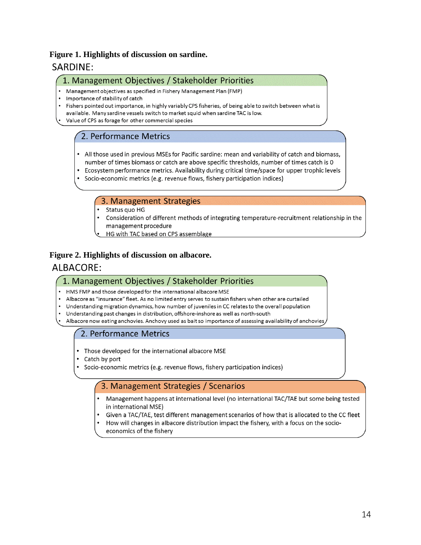# **Figure 1. Highlights of discussion on sardine.** SARDINE:

## 1. Management Objectives / Stakeholder Priorities

- Management objectives as specified in Fishery Management Plan (FMP)
- Importance of stability of catch
- Fishers pointed out importance, in highly variably CPS fisheries, of being able to switch between what is
- available. Many sardine vessels switch to market squid when sardine TAC is low.
- Value of CPS as forage for other commercial species

# 2. Performance Metrics

- All those used in previous MSEs for Pacific sardine: mean and variability of catch and biomass, number of times biomass or catch are above specific thresholds, number of times catch is 0
- Ecosystem performance metrics. Availability during critical time/space for upper trophic levels
- Socio-economic metrics (e.g. revenue flows, fishery participation indices)

# 3. Management Strategies

- Status quo HG
- Consideration of different methods of integrating temperature-recruitment relationship in the management procedure
- HG with TAC based on CPS assemblage

## **Figure 2. Highlights of discussion on albacore.**

# ALBACORE:

### 1. Management Objectives / Stakeholder Priorities

- HMS FMP and those developed for the international albacore MSE
- Albacore as "insurance" fleet. As no limited entry serves to sustain fishers when other are curtailed
- Understanding migration dynamics, how number of juveniles in CC relates to the overall population
- Understanding past changes in distribution, offshore-inshore as well as north-south
- Albacore now eating anchovies. Anchovy used as bait so importance of assessing availability of anchovies,

# 2. Performance Metrics

- Those developed for the international albacore MSE
- Catch by port
- Socio-economic metrics (e.g. revenue flows, fishery participation indices)

# 3. Management Strategies / Scenarios

- Management happens at international level (no international TAC/TAE but some being tested in international MSE)
- Given a TAC/TAE, test different management scenarios of how that is allocated to the CC fleet
- How will changes in albacore distribution impact the fishery, with a focus on the socioeconomics of the fishery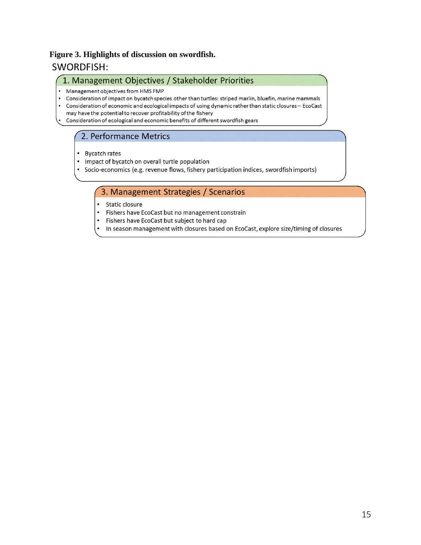# **Figure 3. Highlights of discussion on swordfish.SWORDFISH:**

### 1. Management Objectives / Stakeholder Priorities

- Management objectives from HMS FMP
- Consideration of impact on bycatch species other than turtles: striped marlin, bluefin, marine mammals  $\bullet$
- $\bullet$ Consideration of economic and ecological impacts of using dynamic rather than static closures - EcoCast
- may have the potential to recover profitability of the fishery
- Consideration of ecological and economic benefits of different swordfish gears

# 2. Performance Metrics

- Bycatch rates
- Impact of bycatch on overall turtle population
- Socio-economics (e.g. revenue flows, fishery participation indices, swordfish imports)

# 3. Management Strategies / Scenarios

- Static closure
- $\bullet$ Fishers have EcoCast but no management constrain
- $\bullet$ Fishers have EcoCast but subject to hard cap
- In season management with closures based on EcoCast, explore size/timing of closures